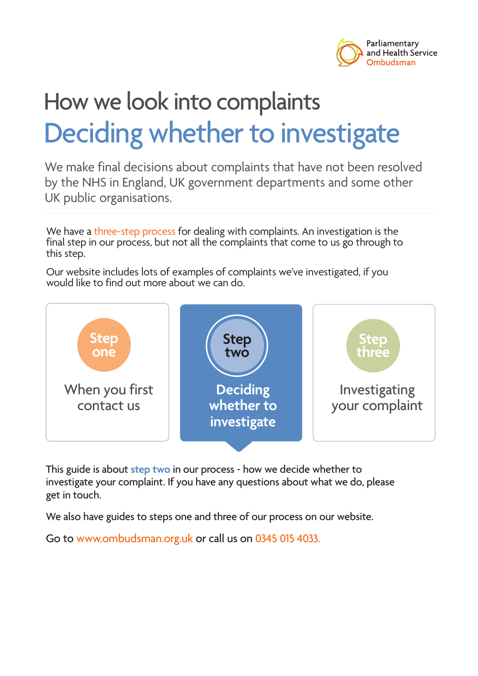

# How we look into complaints Deciding whether to investigate

We make final decisions about complaints that have not been resolved by the NHS in England, UK government departments and some other UK public organisations.

We have a three-step process for dealing with complaints. An investigation is the final step in our process, but not all the complaints that come to us go through to this step.

Our website includes lots of examples of complaints we've investigated, if you would like to find out more about we can do.



This guide is about **step two** in our process - how we decide whether to investigate your complaint. If you have any questions about what we do, please get in touch.

We also have guides to steps one and three of our process on our website.

Go to www.ombudsman.org.uk or call us on 0345 015 4033.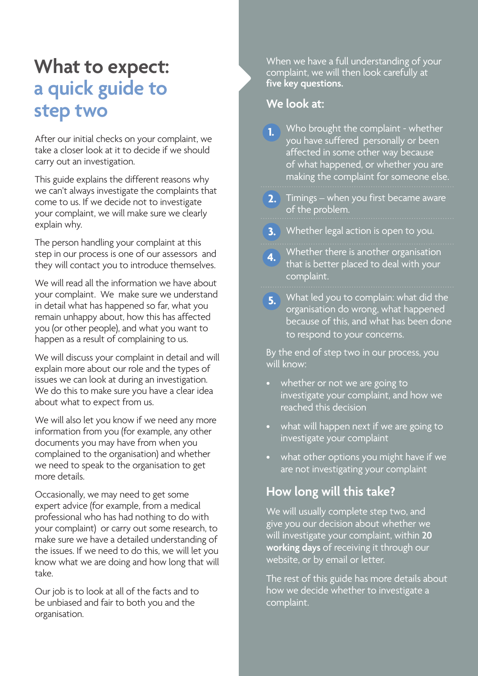## **What to expect: a quick guide to step two**

After our initial checks on your complaint, we take a closer look at it to decide if we should carry out an investigation.

This guide explains the different reasons why we can't always investigate the complaints that come to us. If we decide not to investigate your complaint, we will make sure we clearly explain why.

The person handling your complaint at this step in our process is one of our assessors and they will contact you to introduce themselves.

We will read all the information we have about your complaint. We make sure we understand in detail what has happened so far, what you remain unhappy about, how this has affected you (or other people), and what you want to happen as a result of complaining to us.

We will discuss your complaint in detail and will explain more about our role and the types of issues we can look at during an investigation. We do this to make sure you have a clear idea about what to expect from us.

We will also let you know if we need any more information from you (for example, any other documents you may have from when you complained to the organisation) and whether we need to speak to the organisation to get more details.

Occasionally, we may need to get some expert advice (for example, from a medical professional who has had nothing to do with your complaint) or carry out some research, to make sure we have a detailed understanding of the issues. If we need to do this, we will let you know what we are doing and how long that will take.

Our job is to look at all of the facts and to be unbiased and fair to both you and the organisation.

When we have a full understanding of your complaint, we will then look carefully at **five key questions.** 

#### **We look at:**

- Who brought the complaint whether you have suffered personally or been affected in some other way because of what happened, or whether you are making the complaint for someone else. **1.**
- Timings when you first became aware **2.** of the problem.

Whether legal action is open to you. **3.**

Whether there is another organisation that is better placed to deal with your complaint. **4.**

What led you to complain: what did the **5.** organisation do wrong, what happened because of this, and what has been done to respond to your concerns.

By the end of step two in our process, you will know:

- whether or not we are going to investigate your complaint, and how we reached this decision
- what will happen next if we are going to investigate your complaint
- what other options you might have if we are not investigating your complaint

### **How long will this take?**

We will usually complete step two, and give you our decision about whether we will investigate your complaint, within **20 working days** of receiving it through our website, or by email or letter.

The rest of this guide has more details about how we decide whether to investigate a complaint.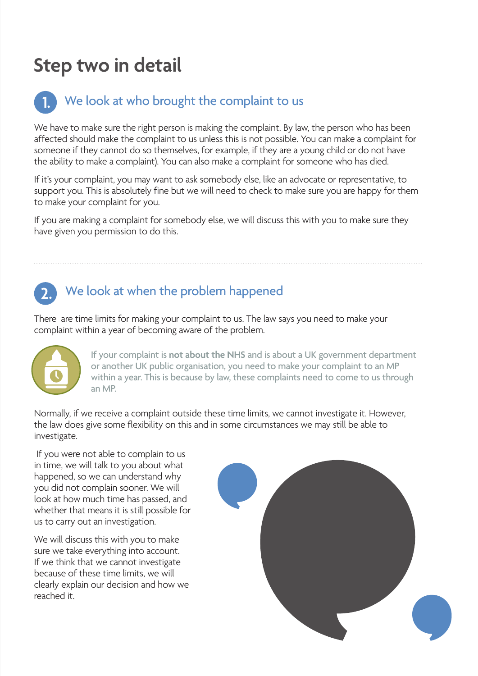## **Step two in detail**

#### We look at who brought the complaint to us **1.**

We have to make sure the right person is making the complaint. By law, the person who has been affected should make the complaint to us unless this is not possible. You can make a complaint for someone if they cannot do so themselves, for example, if they are a young child or do not have the ability to make a complaint). You can also make a complaint for someone who has died.

If it's your complaint, you may want to ask somebody else, like an advocate or representative, to support you. This is absolutely fine but we will need to check to make sure you are happy for them to make your complaint for you.

If you are making a complaint for somebody else, we will discuss this with you to make sure they have given you permission to do this.

### **2.** We look at when the problem happened

There are time limits for making your complaint to us. The law says you need to make your complaint within a year of becoming aware of the problem.



If your complaint is **not about the NHS** and is about a UK government department or another UK public organisation, you need to make your complaint to an MP within a year. This is because by law, these complaints need to come to us through an MP.

Normally, if we receive a complaint outside these time limits, we cannot investigate it. However, the law does give some flexibility on this and in some circumstances we may still be able to investigate.

 If you were not able to complain to us in time, we will talk to you about what happened, so we can understand why you did not complain sooner. We will look at how much time has passed, and whether that means it is still possible for us to carry out an investigation.

We will discuss this with you to make sure we take everything into account. If we think that we cannot investigate because of these time limits, we will clearly explain our decision and how we reached it.

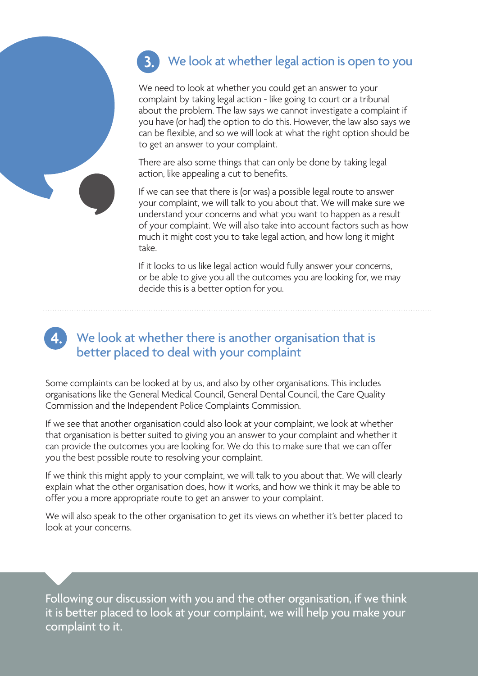#### We look at whether legal action is open to you **3.**

We need to look at whether you could get an answer to your complaint by taking legal action - like going to court or a tribunal about the problem. The law says we cannot investigate a complaint if you have (or had) the option to do this. However, the law also says we can be flexible, and so we will look at what the right option should be to get an answer to your complaint.

There are also some things that can only be done by taking legal action, like appealing a cut to benefits.

If we can see that there is (or was) a possible legal route to answer your complaint, we will talk to you about that. We will make sure we understand your concerns and what you want to happen as a result of your complaint. We will also take into account factors such as how much it might cost you to take legal action, and how long it might take.

If it looks to us like legal action would fully answer your concerns, or be able to give you all the outcomes you are looking for, we may decide this is a better option for you.

#### We look at whether there is another organisation that is better placed to deal with your complaint **4.**

Some complaints can be looked at by us, and also by other organisations. This includes organisations like the General Medical Council, General Dental Council, the Care Quality Commission and the Independent Police Complaints Commission.

If we see that another organisation could also look at your complaint, we look at whether that organisation is better suited to giving you an answer to your complaint and whether it can provide the outcomes you are looking for. We do this to make sure that we can offer you the best possible route to resolving your complaint.

If we think this might apply to your complaint, we will talk to you about that. We will clearly explain what the other organisation does, how it works, and how we think it may be able to offer you a more appropriate route to get an answer to your complaint.

We will also speak to the other organisation to get its views on whether it's better placed to look at your concerns.

Following our discussion with you and the other organisation, if we think it is better placed to look at your complaint, we will help you make your complaint to it.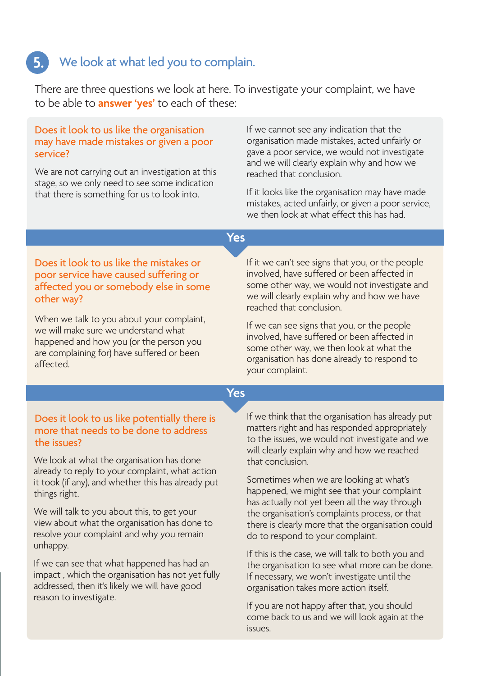## We look at what led you to complain. **5.**

There are three questions we look at here. To investigate your complaint, we have to be able to **answer 'yes'** to each of these:

#### Does it look to us like the organisation may have made mistakes or given a poor service?

We are not carrying out an investigation at this stage, so we only need to see some indication that there is something for us to look into.

If we cannot see any indication that the organisation made mistakes, acted unfairly or gave a poor service, we would not investigate and we will clearly explain why and how we reached that conclusion.

If it looks like the organisation may have made mistakes, acted unfairly, or given a poor service, we then look at what effect this has had.

**Yes**

#### Does it look to us like the mistakes or poor service have caused suffering or affected you or somebody else in some other way?

When we talk to you about your complaint, we will make sure we understand what happened and how you (or the person you are complaining for) have suffered or been affected.

#### If it we can't see signs that you, or the people involved, have suffered or been affected in some other way, we would not investigate and we will clearly explain why and how we have reached that conclusion.

If we can see signs that you, or the people involved, have suffered or been affected in some other way, we then look at what the organisation has done already to respond to your complaint.

#### **Yes**

#### Does it look to us like potentially there is more that needs to be done to address the issues?

We look at what the organisation has done already to reply to your complaint, what action it took (if any), and whether this has already put things right.

We will talk to you about this, to get your view about what the organisation has done to resolve your complaint and why you remain unhappy.

If we can see that what happened has had an impact , which the organisation has not yet fully addressed, then it's likely we will have good reason to investigate.

If we think that the organisation has already put matters right and has responded appropriately to the issues, we would not investigate and we will clearly explain why and how we reached that conclusion.

Sometimes when we are looking at what's happened, we might see that your complaint has actually not yet been all the way through the organisation's complaints process, or that there is clearly more that the organisation could do to respond to your complaint.

If this is the case, we will talk to both you and the organisation to see what more can be done. If necessary, we won't investigate until the organisation takes more action itself.

If you are not happy after that, you should come back to us and we will look again at the issues.